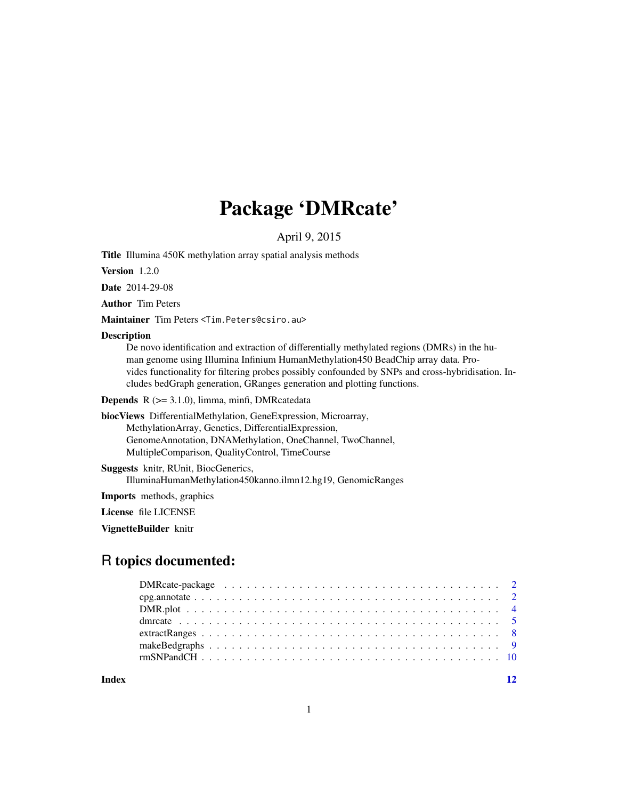# Package 'DMRcate'

April 9, 2015

Title Illumina 450K methylation array spatial analysis methods

Version 1.2.0

Date 2014-29-08

Author Tim Peters

Maintainer Tim Peters <Tim.Peters@csiro.au>

#### **Description**

De novo identification and extraction of differentially methylated regions (DMRs) in the human genome using Illumina Infinium HumanMethylation450 BeadChip array data. Provides functionality for filtering probes possibly confounded by SNPs and cross-hybridisation. Includes bedGraph generation, GRanges generation and plotting functions.

Depends R (>= 3.1.0), limma, minfi, DMRcatedata

biocViews DifferentialMethylation, GeneExpression, Microarray, MethylationArray, Genetics, DifferentialExpression, GenomeAnnotation, DNAMethylation, OneChannel, TwoChannel, MultipleComparison, QualityControl, TimeCourse

Suggests knitr, RUnit, BiocGenerics, IlluminaHumanMethylation450kanno.ilmn12.hg19, GenomicRanges

Imports methods, graphics

License file LICENSE

VignetteBuilder knitr

# R topics documented:

**Index** [12](#page-11-0)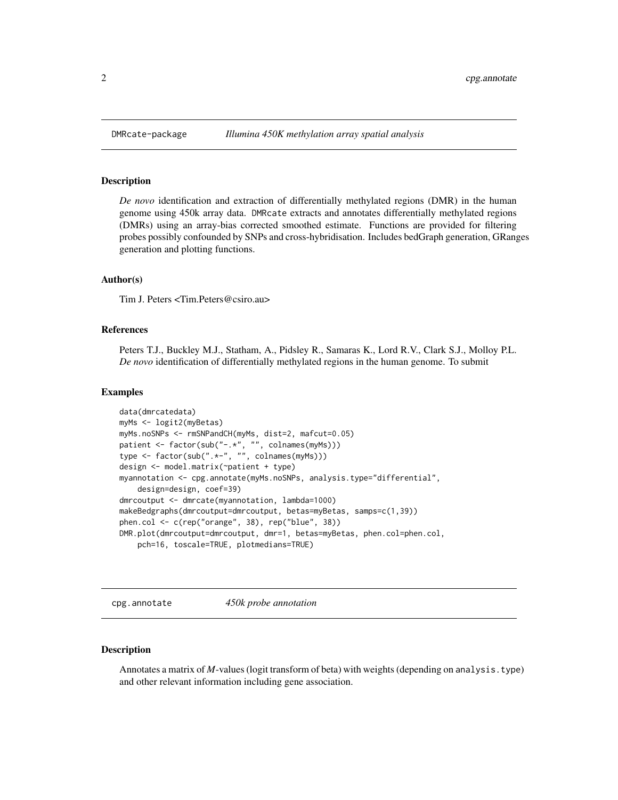#### Description

*De novo* identification and extraction of differentially methylated regions (DMR) in the human genome using 450k array data. DMRcate extracts and annotates differentially methylated regions (DMRs) using an array-bias corrected smoothed estimate. Functions are provided for filtering probes possibly confounded by SNPs and cross-hybridisation. Includes bedGraph generation, GRanges generation and plotting functions.

#### Author(s)

Tim J. Peters <Tim.Peters@csiro.au>

#### References

Peters T.J., Buckley M.J., Statham, A., Pidsley R., Samaras K., Lord R.V., Clark S.J., Molloy P.L. *De novo* identification of differentially methylated regions in the human genome. To submit

#### Examples

```
data(dmrcatedata)
myMs <- logit2(myBetas)
myMs.noSNPs <- rmSNPandCH(myMs, dist=2, mafcut=0.05)
patient <- factor(sub("-.*", "", colnames(myMs)))
type <- factor(sub(".*-", "", colnames(myMs)))
design <- model.matrix(~patient + type)
myannotation <- cpg.annotate(myMs.noSNPs, analysis.type="differential",
    design=design, coef=39)
dmrcoutput <- dmrcate(myannotation, lambda=1000)
makeBedgraphs(dmrcoutput=dmrcoutput, betas=myBetas, samps=c(1,39))
phen.col <- c(rep("orange", 38), rep("blue", 38))
DMR.plot(dmrcoutput=dmrcoutput, dmr=1, betas=myBetas, phen.col=phen.col,
    pch=16, toscale=TRUE, plotmedians=TRUE)
```
<span id="page-1-1"></span>cpg.annotate *450k probe annotation*

#### Description

Annotates a matrix of *M*-values (logit transform of beta) with weights (depending on analysis.type) and other relevant information including gene association.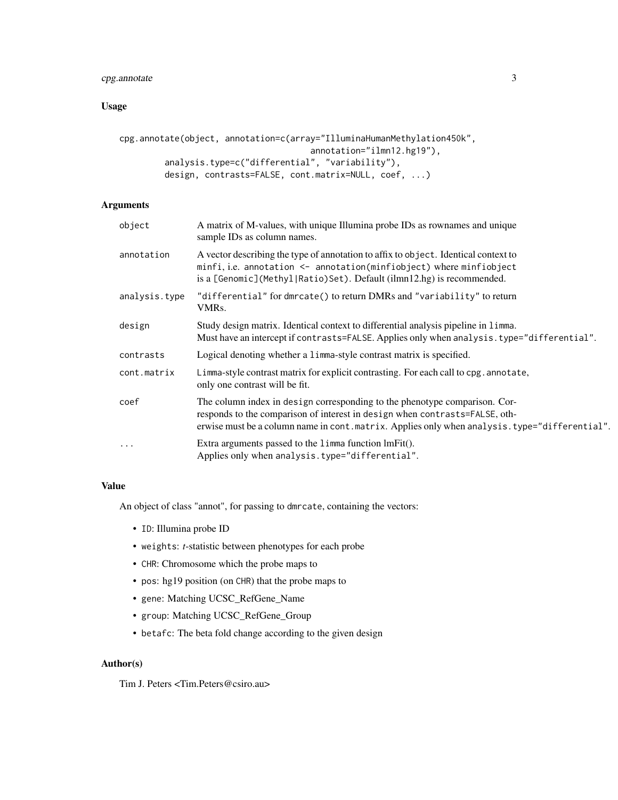# cpg.annotate 3

# Usage

```
cpg.annotate(object, annotation=c(array="IlluminaHumanMethylation450k",
                                      annotation="ilmn12.hg19"),
         analysis.type=c("differential", "variability"),
        design, contrasts=FALSE, cont.matrix=NULL, coef, ...)
```
# Arguments

| object        | A matrix of M-values, with unique Illumina probe IDs as rownames and unique<br>sample IDs as column names.                                                                                                                                                  |
|---------------|-------------------------------------------------------------------------------------------------------------------------------------------------------------------------------------------------------------------------------------------------------------|
| annotation    | A vector describing the type of annotation to affix to object. Identical context to<br>minfi, i.e. annotation <- annotation(minfiobject) where minfiobject<br>is a [Genomic] (Methyl Ratio) Set). Default (ilmn12.hg) is recommended.                       |
| analysis.type | "differential" for dmrcate() to return DMRs and "variability" to return<br>VMRs.                                                                                                                                                                            |
| design        | Study design matrix. Identical context to differential analysis pipeline in limma.<br>Must have an intercept if contrasts=FALSE. Applies only when analysis. type="differential".                                                                           |
| contrasts     | Logical denoting whether a limma-style contrast matrix is specified.                                                                                                                                                                                        |
| cont.matrix   | Limma-style contrast matrix for explicit contrasting. For each call to cpg. annotate,<br>only one contrast will be fit.                                                                                                                                     |
| coef          | The column index in design corresponding to the phenotype comparison. Cor-<br>responds to the comparison of interest in design when contrasts=FALSE, oth-<br>erwise must be a column name in cont. matrix. Applies only when analysis. type="differential". |
| $\cdots$      | Extra arguments passed to the limma function lmFit().<br>Applies only when analysis.type="differential".                                                                                                                                                    |

# Value

An object of class "annot", for passing to dmrcate, containing the vectors:

- ID: Illumina probe ID
- weights: *t*-statistic between phenotypes for each probe
- CHR: Chromosome which the probe maps to
- pos: hg19 position (on CHR) that the probe maps to
- gene: Matching UCSC\_RefGene\_Name
- group: Matching UCSC\_RefGene\_Group
- betafc: The beta fold change according to the given design

# Author(s)

Tim J. Peters <Tim.Peters@csiro.au>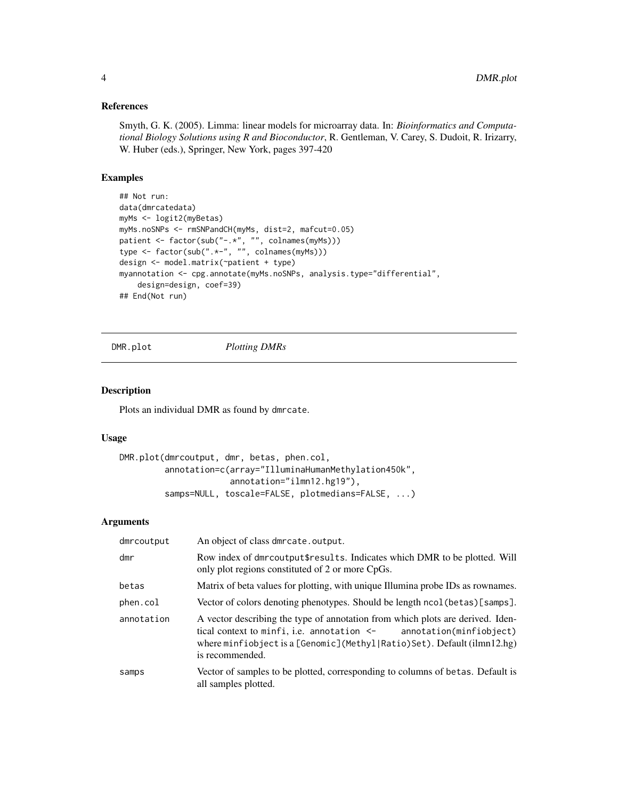#### <span id="page-3-0"></span>References

Smyth, G. K. (2005). Limma: linear models for microarray data. In: *Bioinformatics and Computational Biology Solutions using R and Bioconductor*, R. Gentleman, V. Carey, S. Dudoit, R. Irizarry, W. Huber (eds.), Springer, New York, pages 397-420

# Examples

```
## Not run:
data(dmrcatedata)
myMs <- logit2(myBetas)
myMs.noSNPs <- rmSNPandCH(myMs, dist=2, mafcut=0.05)
patient <- factor(sub("-.*", "", colnames(myMs)))
type <- factor(sub(".*-", "", colnames(myMs)))
design <- model.matrix(~patient + type)
myannotation <- cpg.annotate(myMs.noSNPs, analysis.type="differential",
    design=design, coef=39)
## End(Not run)
```

```
DMR.plot Plotting DMRs
```
## Description

Plots an individual DMR as found by dmrcate.

#### Usage

```
DMR.plot(dmrcoutput, dmr, betas, phen.col,
         annotation=c(array="IlluminaHumanMethylation450k",
                      annotation="ilmn12.hg19"),
         samps=NULL, toscale=FALSE, plotmedians=FALSE, ...)
```
## Arguments

| dmrcoutput | An object of class dmrcate.output.                                                                                                                                                                                                                            |
|------------|---------------------------------------------------------------------------------------------------------------------------------------------------------------------------------------------------------------------------------------------------------------|
| dmr        | Row index of dmrcoutput\$results. Indicates which DMR to be plotted. Will<br>only plot regions constituted of 2 or more CpGs.                                                                                                                                 |
| betas      | Matrix of beta values for plotting, with unique Illumina probe IDs as rownames.                                                                                                                                                                               |
| phen.col   | Vector of colors denoting phenotypes. Should be length ncol (betas) [samps].                                                                                                                                                                                  |
| annotation | A vector describing the type of annotation from which plots are derived. Iden-<br>tical context to minfi, i.e. annotation <- annotation(minfiobject)<br>where minfiobject is a $[Genomic]$ (Methyl $ Ratio)$ Set). Default (ilmn $12.hg$ )<br>is recommended. |
| samps      | Vector of samples to be plotted, corresponding to columns of betas. Default is<br>all samples plotted.                                                                                                                                                        |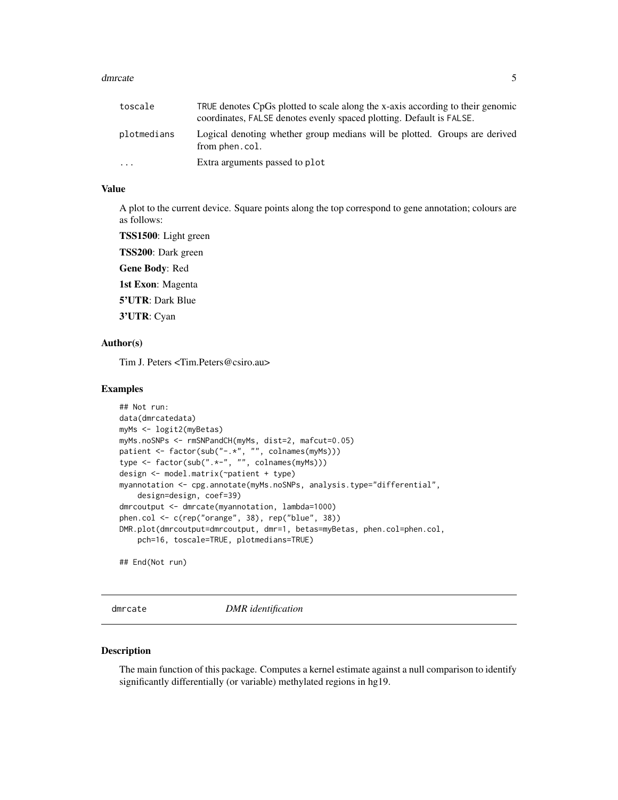#### <span id="page-4-0"></span>dmrcate 5

| toscale     | TRUE denotes CpGs plotted to scale along the x-axis according to their genomic<br>coordinates, FALSE denotes evenly spaced plotting. Default is FALSE. |
|-------------|--------------------------------------------------------------------------------------------------------------------------------------------------------|
| plotmedians | Logical denoting whether group medians will be plotted. Groups are derived<br>from phen.col.                                                           |
| $\ddotsc$   | Extra arguments passed to plot                                                                                                                         |

# Value

A plot to the current device. Square points along the top correspond to gene annotation; colours are as follows:

TSS1500: Light green

TSS200: Dark green

Gene Body: Red

1st Exon: Magenta

5'UTR: Dark Blue

3'UTR: Cyan

#### Author(s)

Tim J. Peters <Tim.Peters@csiro.au>

#### Examples

```
## Not run:
data(dmrcatedata)
myMs <- logit2(myBetas)
myMs.noSNPs <- rmSNPandCH(myMs, dist=2, mafcut=0.05)
patient <- factor(sub("-.*", "", colnames(myMs)))
type \le factor(sub(".*-", "", colnames(myMs)))
design <- model.matrix(~patient + type)
myannotation <- cpg.annotate(myMs.noSNPs, analysis.type="differential",
    design=design, coef=39)
dmrcoutput <- dmrcate(myannotation, lambda=1000)
phen.col <- c(rep("orange", 38), rep("blue", 38))
DMR.plot(dmrcoutput=dmrcoutput, dmr=1, betas=myBetas, phen.col=phen.col,
    pch=16, toscale=TRUE, plotmedians=TRUE)
```
## End(Not run)

<span id="page-4-1"></span>dmrcate *DMR identification*

#### **Description**

The main function of this package. Computes a kernel estimate against a null comparison to identify significantly differentially (or variable) methylated regions in hg19.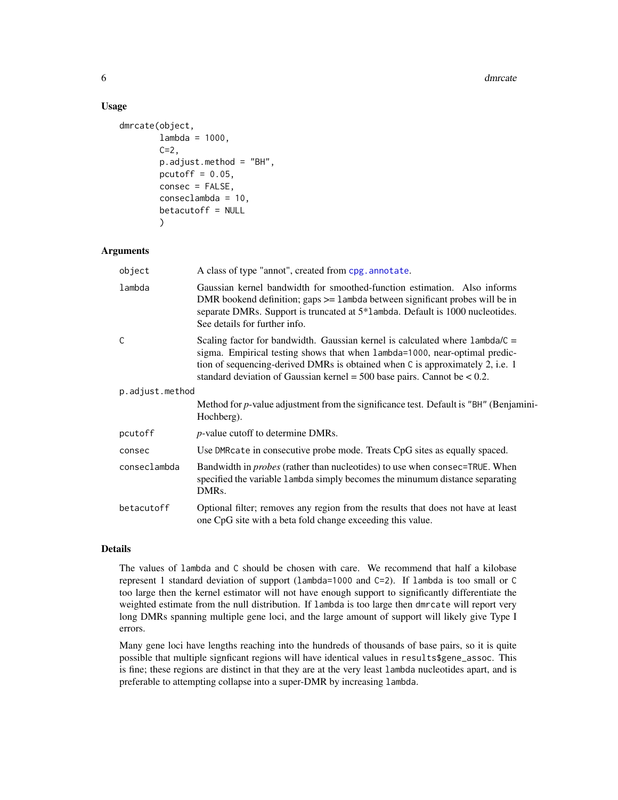#### Usage

```
dmrcate(object,
        lambda = 1000,
        C=2,
        p.adjust.method = "BH",
        pcutoff = 0.05,
        consec = FALSE,
        conseclambda = 10,
        betacutoff = NULL
        )
```
# Arguments

| object          | A class of type "annot", created from cpg. annotate.                                                                                                                                                                                                                                                                               |
|-----------------|------------------------------------------------------------------------------------------------------------------------------------------------------------------------------------------------------------------------------------------------------------------------------------------------------------------------------------|
| lambda          | Gaussian kernel bandwidth for smoothed-function estimation. Also informs<br>DMR bookend definition; gaps $>=$ 1 ambda between significant probes will be in<br>separate DMRs. Support is truncated at 5*1 ambda. Default is 1000 nucleotides.<br>See details for further info.                                                     |
| C               | Scaling factor for bandwidth. Gaussian kernel is calculated where $l$ ambda/ $C =$<br>sigma. Empirical testing shows that when lambda=1000, near-optimal predic-<br>tion of sequencing-derived DMRs is obtained when C is approximately 2, i.e. 1<br>standard deviation of Gaussian kernel = $500$ base pairs. Cannot be < $0.2$ . |
| p.adjust.method |                                                                                                                                                                                                                                                                                                                                    |
|                 | Method for <i>p</i> -value adjustment from the significance test. Default is "BH" (Benjamini-<br>Hochberg).                                                                                                                                                                                                                        |
| pcutoff         | <i>p</i> -value cutoff to determine DMRs.                                                                                                                                                                                                                                                                                          |
| consec          | Use DMR cate in consecutive probe mode. Treats CpG sites as equally spaced.                                                                                                                                                                                                                                                        |
| conseclambda    | Bandwidth in <i>probes</i> (rather than nucleotides) to use when consec=TRUE. When<br>specified the variable 1 ambda simply becomes the minumum distance separating<br>DMR <sub>s</sub> .                                                                                                                                          |
| betacutoff      | Optional filter; removes any region from the results that does not have at least<br>one CpG site with a beta fold change exceeding this value.                                                                                                                                                                                     |

#### Details

The values of lambda and C should be chosen with care. We recommend that half a kilobase represent 1 standard deviation of support (lambda=1000 and C=2). If lambda is too small or C too large then the kernel estimator will not have enough support to significantly differentiate the weighted estimate from the null distribution. If lambda is too large then dmrcate will report very long DMRs spanning multiple gene loci, and the large amount of support will likely give Type I errors.

Many gene loci have lengths reaching into the hundreds of thousands of base pairs, so it is quite possible that multiple signficant regions will have identical values in results\$gene\_assoc. This is fine; these regions are distinct in that they are at the very least lambda nucleotides apart, and is preferable to attempting collapse into a super-DMR by increasing lambda.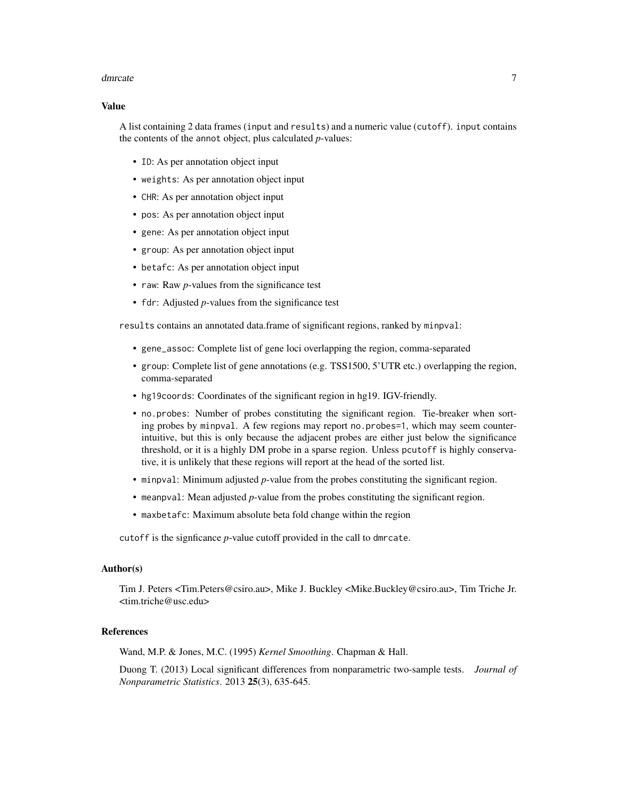#### dmrcate 7 and 3 and 3 and 3 and 3 and 3 and 3 and 3 and 3 and 3 and 3 and 3 and 3 and 3 and 3 and 3 and 3 and 3 and 3 and 3 and 3 and 3 and 3 and 3 and 3 and 3 and 3 and 3 and 3 and 3 and 3 and 3 and 3 and 3 and 3 and 3 an

#### Value

A list containing 2 data frames (input and results) and a numeric value (cutoff). input contains the contents of the annot object, plus calculated *p*-values:

- ID: As per annotation object input
- weights: As per annotation object input
- CHR: As per annotation object input
- pos: As per annotation object input
- gene: As per annotation object input
- group: As per annotation object input
- betafc: As per annotation object input
- raw: Raw *p*-values from the significance test
- fdr: Adjusted *p*-values from the significance test

results contains an annotated data.frame of significant regions, ranked by minpval:

- gene\_assoc: Complete list of gene loci overlapping the region, comma-separated
- group: Complete list of gene annotations (e.g. TSS1500, 5'UTR etc.) overlapping the region, comma-separated
- hg19coords: Coordinates of the significant region in hg19. IGV-friendly.
- no.probes: Number of probes constituting the significant region. Tie-breaker when sorting probes by minpval. A few regions may report no.probes=1, which may seem counterintuitive, but this is only because the adjacent probes are either just below the significance threshold, or it is a highly DM probe in a sparse region. Unless pcutoff is highly conservative, it is unlikely that these regions will report at the head of the sorted list.
- minpval: Minimum adjusted *p*-value from the probes constituting the significant region.
- meanpval: Mean adjusted *p*-value from the probes constituting the significant region.
- maxbetafc: Maximum absolute beta fold change within the region

cutoff is the signficance *p*-value cutoff provided in the call to dmrcate.

#### Author(s)

Tim J. Peters <Tim.Peters@csiro.au>, Mike J. Buckley <Mike.Buckley@csiro.au>, Tim Triche Jr. <tim.triche@usc.edu>

#### References

Wand, M.P. & Jones, M.C. (1995) *Kernel Smoothing*. Chapman & Hall.

Duong T. (2013) Local significant differences from nonparametric two-sample tests. *Journal of Nonparametric Statistics*. 2013 25(3), 635-645.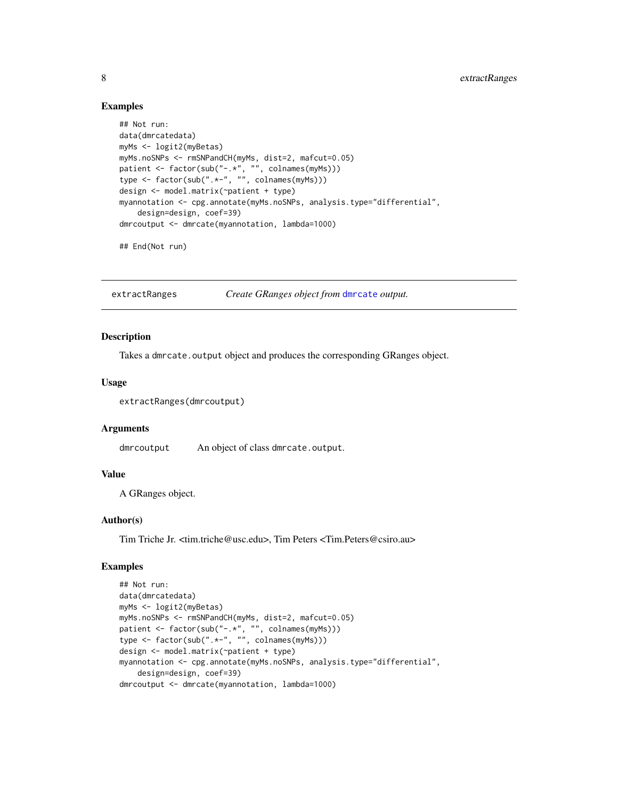#### Examples

```
## Not run:
data(dmrcatedata)
myMs <- logit2(myBetas)
myMs.noSNPs <- rmSNPandCH(myMs, dist=2, mafcut=0.05)
patient <- factor(sub("-.*", "", colnames(myMs)))
type <- factor(sub(".*-", "", colnames(myMs)))
design <- model.matrix(~patient + type)
myannotation <- cpg.annotate(myMs.noSNPs, analysis.type="differential",
    design=design, coef=39)
dmrcoutput <- dmrcate(myannotation, lambda=1000)
```
## End(Not run)

extractRanges *Create GRanges object from* [dmrcate](#page-4-1) *output.*

#### Description

Takes a dmrcate.output object and produces the corresponding GRanges object.

# Usage

extractRanges(dmrcoutput)

#### Arguments

dmrcoutput An object of class dmrcate.output.

#### Value

A GRanges object.

#### Author(s)

Tim Triche Jr. <tim.triche@usc.edu>, Tim Peters <Tim.Peters@csiro.au>

# Examples

```
## Not run:
data(dmrcatedata)
myMs <- logit2(myBetas)
myMs.noSNPs <- rmSNPandCH(myMs, dist=2, mafcut=0.05)
patient <- factor(sub("-.*", "", colnames(myMs)))
type <- factor(sub(".*-", "", colnames(myMs)))
design <- model.matrix(~patient + type)
myannotation <- cpg.annotate(myMs.noSNPs, analysis.type="differential",
   design=design, coef=39)
dmrcoutput <- dmrcate(myannotation, lambda=1000)
```
<span id="page-7-0"></span>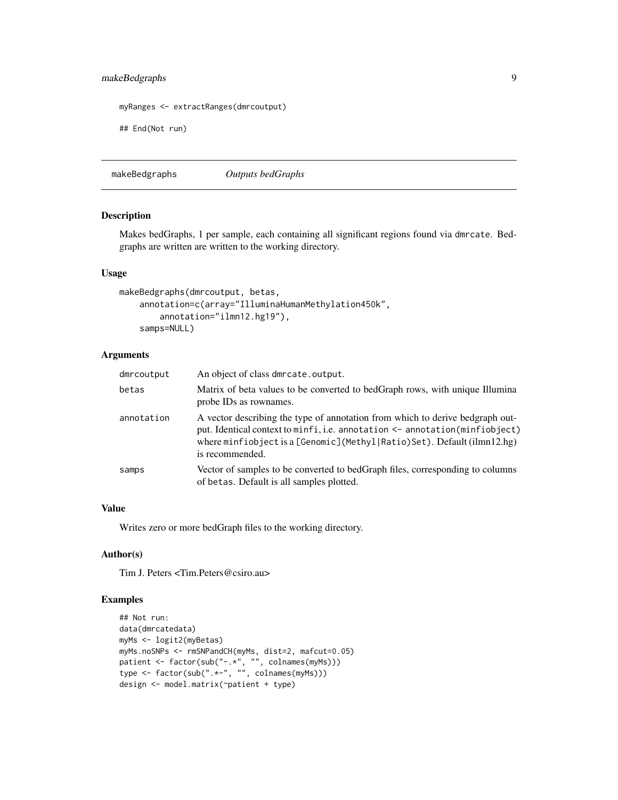# <span id="page-8-0"></span>makeBedgraphs 9

```
myRanges <- extractRanges(dmrcoutput)
```
## End(Not run)

makeBedgraphs *Outputs bedGraphs*

# Description

Makes bedGraphs, 1 per sample, each containing all significant regions found via dmrcate. Bedgraphs are written are written to the working directory.

#### Usage

```
makeBedgraphs(dmrcoutput, betas,
   annotation=c(array="IlluminaHumanMethylation450k",
       annotation="ilmn12.hg19"),
   samps=NULL)
```
# Arguments

| dmrcoutput | An object of class dmrcate.output.                                                                                                                                                                                                                                   |
|------------|----------------------------------------------------------------------------------------------------------------------------------------------------------------------------------------------------------------------------------------------------------------------|
| betas      | Matrix of beta values to be converted to bedGraph rows, with unique Illumina<br>probe IDs as rownames.                                                                                                                                                               |
| annotation | A vector describing the type of annotation from which to derive bedgraph out-<br>put. Identical context to minfi, i.e. annotation <- annotation(minfiobject)<br>where minfiobject is a [Genomic] (Methyl $ Ratio$ ) Set). Default (ilmn $12.hg$ )<br>is recommended. |
| samps      | Vector of samples to be converted to bedGraph files, corresponding to columns<br>of betas. Default is all samples plotted.                                                                                                                                           |

#### Value

Writes zero or more bedGraph files to the working directory.

# Author(s)

Tim J. Peters <Tim.Peters@csiro.au>

# Examples

```
## Not run:
data(dmrcatedata)
myMs <- logit2(myBetas)
myMs.noSNPs <- rmSNPandCH(myMs, dist=2, mafcut=0.05)
patient <- factor(sub("-.*", "", colnames(myMs)))
type <- factor(sub(".*-", "", colnames(myMs)))
design <- model.matrix(~patient + type)
```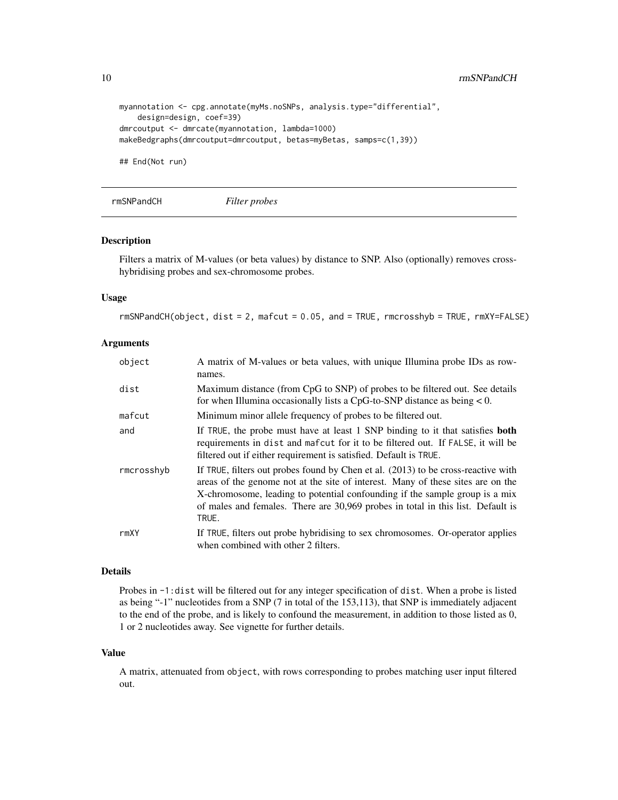```
myannotation <- cpg.annotate(myMs.noSNPs, analysis.type="differential",
    design=design, coef=39)
dmrcoutput <- dmrcate(myannotation, lambda=1000)
makeBedgraphs(dmrcoutput=dmrcoutput, betas=myBetas, samps=c(1,39))
```
## End(Not run)

rmSNPandCH *Filter probes*

#### Description

Filters a matrix of M-values (or beta values) by distance to SNP. Also (optionally) removes crosshybridising probes and sex-chromosome probes.

#### Usage

rmSNPandCH(object, dist = 2, mafcut = 0.05, and = TRUE, rmcrosshyb = TRUE, rmXY=FALSE)

#### Arguments

| object     | A matrix of M-values or beta values, with unique Illumina probe IDs as row-<br>names.                                                                                                                                                                                                                                                           |
|------------|-------------------------------------------------------------------------------------------------------------------------------------------------------------------------------------------------------------------------------------------------------------------------------------------------------------------------------------------------|
| dist       | Maximum distance (from CpG to SNP) of probes to be filtered out. See details<br>for when Illumina occasionally lists a CpG-to-SNP distance as being $< 0$ .                                                                                                                                                                                     |
| mafcut     | Minimum minor allele frequency of probes to be filtered out.                                                                                                                                                                                                                                                                                    |
| and        | If TRUE, the probe must have at least 1 SNP binding to it that satisfies <b>both</b><br>requirements in dist and mafcut for it to be filtered out. If FALSE, it will be<br>filtered out if either requirement is satisfied. Default is TRUE.                                                                                                    |
| rmcrosshyb | If TRUE, filters out probes found by Chen et al. (2013) to be cross-reactive with<br>areas of the genome not at the site of interest. Many of these sites are on the<br>X-chromosome, leading to potential confounding if the sample group is a mix<br>of males and females. There are 30,969 probes in total in this list. Default is<br>TRUE. |
| rmXY       | If TRUE, filters out probe hybridising to sex chromosomes. Or-operator applies<br>when combined with other 2 filters.                                                                                                                                                                                                                           |

# Details

Probes in -1:dist will be filtered out for any integer specification of dist. When a probe is listed as being "-1" nucleotides from a SNP (7 in total of the 153,113), that SNP is immediately adjacent to the end of the probe, and is likely to confound the measurement, in addition to those listed as 0, 1 or 2 nucleotides away. See vignette for further details.

#### Value

A matrix, attenuated from object, with rows corresponding to probes matching user input filtered out.

<span id="page-9-0"></span>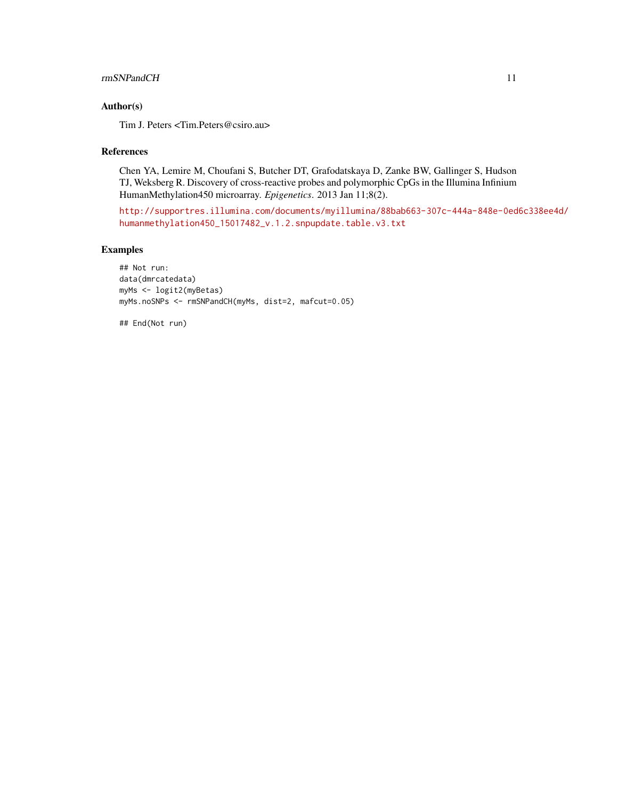#### rmSNPandCH 11

# Author(s)

Tim J. Peters <Tim.Peters@csiro.au>

#### References

Chen YA, Lemire M, Choufani S, Butcher DT, Grafodatskaya D, Zanke BW, Gallinger S, Hudson TJ, Weksberg R. Discovery of cross-reactive probes and polymorphic CpGs in the Illumina Infinium HumanMethylation450 microarray. *Epigenetics*. 2013 Jan 11;8(2).

[http://supportres.illumina.com/documents/myillumina/88bab663-307c-444a-848e-0ed](http://supportres.illumina.com/documents/myillumina/88bab663-307c-444a-848e-0ed6c338ee4d/humanmethylation450_15017482_v.1.2.snpupdate.table.v3.txt)6c338ee4d/ [humanmethylation450\\_15017482\\_v.1.2.snpupdate.table.v3.txt](http://supportres.illumina.com/documents/myillumina/88bab663-307c-444a-848e-0ed6c338ee4d/humanmethylation450_15017482_v.1.2.snpupdate.table.v3.txt)

# Examples

## Not run: data(dmrcatedata) myMs <- logit2(myBetas) myMs.noSNPs <- rmSNPandCH(myMs, dist=2, mafcut=0.05)

## End(Not run)